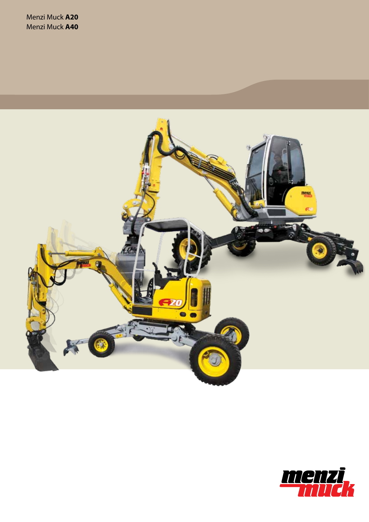

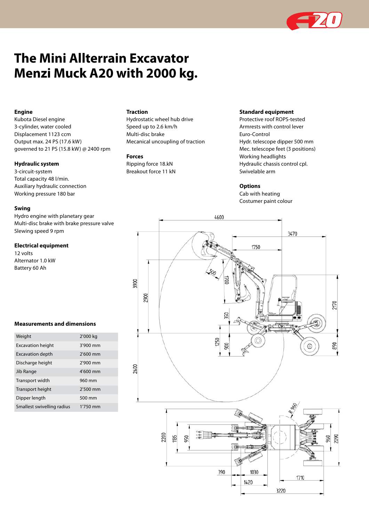

# **The Mini Allterrain Excavator Menzi Muck A20 with 2000 kg.**

# **Engine**

Kubota Diesel engine 3-cylinder, water cooled Displacement 1123 ccm Output max. 24 PS (17.6 kW) governed to 21 PS (15.8 kW) @ 2400 rpm

#### **Hydraulic system**

3-circuit-system Total capacity 48 l/min. Auxiliary hydraulic connection Working pressure 180 bar

## **Swing**

Hydro engine with planetary gear Multi-disc brake with brake pressure valve Slewing speed 9 rpm

#### **Electrical equipment**

12 volts Alternator 1.0 kW Battery 60 Ah

## **Measurements and dimensions**

| Weight                     | 2'000 kg   |
|----------------------------|------------|
| <b>Excavation height</b>   | $3'900$ mm |
| <b>Excavation depth</b>    | 2'600 mm   |
| Discharge height           | $2'900$ mm |
| Jib Range                  | $4'600$ mm |
| Transport width            | 960 mm     |
| Transport height           | $2'500$ mm |
| Dipper length              | 500 mm     |
| Smallest swivelling radius | 1'750 mm   |

# **Traction**

Hydrostatic wheel hub drive Speed up to 2.6 km/h Multi-disc brake Mecanical uncoupling of traction

#### **Forces**

Ripping force 18.kN Breakout force 11 kN

# **Standard equipment**

Protective roof ROPS-tested Armrests with control lever Euro-Control Hydr. telescope dipper 500 mm Mec. telescope feet (3 positions) Working headlights Hydraulic chassis control cpl. Swivelable arm

#### **Options**

Cab with heating Costumer paint colour

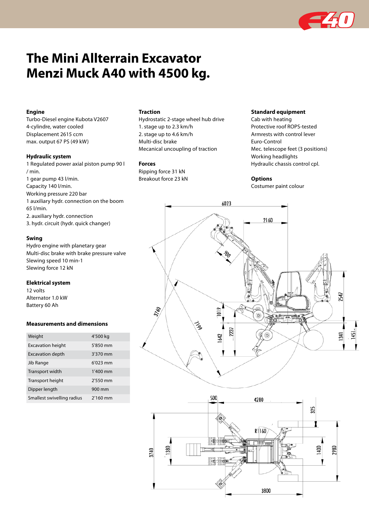

# **The Mini Allterrain Excavator Menzi Muck A40 with 4500 kg.**

# **Engine**

Turbo-Diesel engine Kubota V2607 4-cylindre, water cooled Displacement 2615 ccm max. output 67 PS (49 kW)

#### **Hydraulic system**

1 Regulated power axial piston pump 90 l / min. 1 gear pump 43 l/min. Capacity 140 l/min. Working pressure 220 bar 1 auxiliary hydr. connection on the boom 65 l/min. 2. auxiliary hydr. connection 3. hydr. circuit (hydr. quick changer)

# **Swing**

Hydro engine with planetary gear Multi-disc brake with brake pressure valve Slewing speed 10 min-1 Slewing force 12 kN

#### **Elektrical system**

12 volts Alternator 1.0 kW Battery 60 Ah

#### **Measurements and dimensions**

| Weight                     | 4'500 kg   |
|----------------------------|------------|
| <b>Excavation height</b>   | 5'850 mm   |
| <b>Excavation depth</b>    | $3'370$ mm |
| Jib Range                  | $6'023$ mm |
| Transport width            | 1'400 mm   |
| Transport height           | 2'550 mm   |
| Dipper length              | 900 mm     |
| Smallest swivelling radius | $2'160$ mm |

# **Traction**

Hydrostatic 2-stage wheel hub drive 1. stage up to 2.3 km/h 2. stage up to 4.6 km/h Multi-disc brake Mecanical uncoupling of traction

#### **Forces**

Ripping force 31 kN Breakout force 23 kN

# **Standard equipment**

Cab with heating Protective roof ROPS-tested Armrests with control lever Euro-Control Mec. telescope feet (3 positions) Working headlights Hydraulic chassis control cpl.

#### **Options**

Costumer paint colour